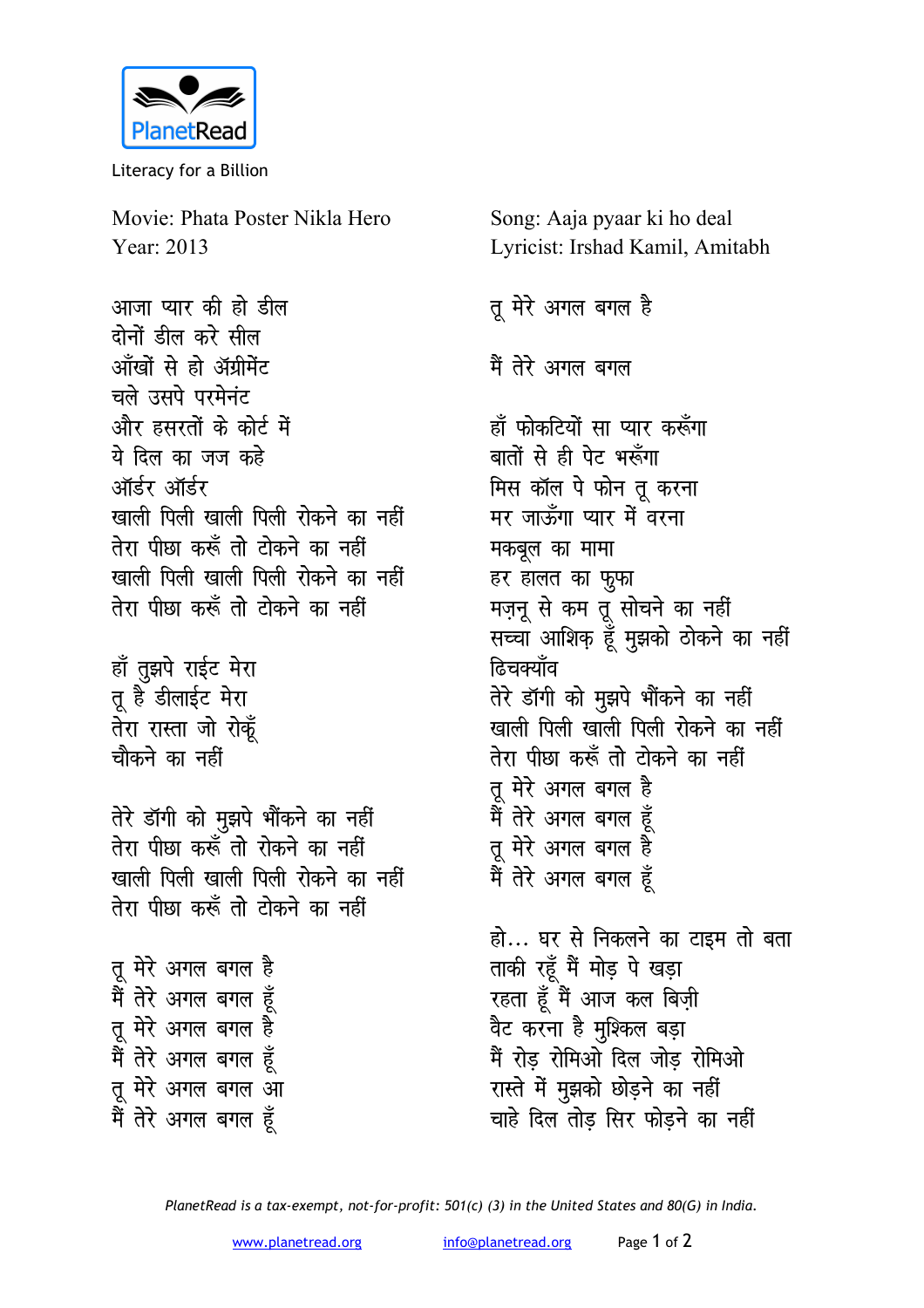

Literacy for a Billion

Movie: Phata Poster Nikla Hero Year: 2013

आजा प्यार की हो डील दोनों हील करे सील आँखों से हो ॲग्रीमेंट चले उसपे परमेनंट और हसरतों के कोर्ट में ये दिल का जज कहे ऑर्डर ऑर्डर खाली पिली खाली पिली रोकने का नहीं तेरा पीछा करूँ तो टोकने का नहीं खाली पिली खाली पिली रोकने का नहीं तेरा पीछा करूँ तो टोकने का नहीं

हाँ तुझपे राईट मेरा तू है डीलाईट मेरा तेरा रास्ता जो रोकूँ चौकने का नहीं

तेरे डॉगी को मुझपे भौंकने का नहीं तेरा पीछा करूँ तो रोकने का नहीं खाली पिली खाली पिली रोकने का नहीं तेरा पीछा करूँ तो टोकने का नहीं

तू मेरे अगल बगल है मैं तेरे अगल बगल हूँ तू मेरे अगल बगल है मैं तेरे अगल बगल हूँ तू मेरे अगल बगल आ मैं तेरे अगल बगल हूँ

Song: Aaja pyaar ki ho deal Lyricist: Irshad Kamil, Amitabh

तू मेरे अगल बगल है मैं तेरे अगल बगल हाँ फोकटियों सा प्यार करूँगा बातों से ही पेट भरूँगा मिस कॉल पे फोन तू करना मर जाऊँगा प्यार में वरना मकबूल का मामा हर हालत का फ़ूफा मज़नू से कम तू सोचने का नहीं सच्चा आशिक हूँ मुझको ठोकने का नहीं <u> हिचक्याँव</u> तेरे डॉगी को मुझपे भौंकने का नहीं खाली पिली खाली पिली रोकने का नहीं तेरा पीछा करूँ तो टोकने का नहीं तू मेरे अगल बगल है मैं तेरे अगल बगल हूँ तू मेरे अगल बगल है मैं तेरे अगल बगल हूँ

हो... घर से निकलने का टाइम तो बता ताकी रहूँ मैं मोड़ पे खड़ा रहता हूँ मैं आज कल बिजी वैट करना है मुश्किल बड़ा मैं रोड़ रोमिओ दिल जोड़ रोमिओ रास्ते में मुझको छोड़ने का नहीं चाहे दिल तोड सिर फोडने का नहीं

PlanetRead is a tax-exempt, not-for-profit: 501(c) (3) in the United States and 80(G) in India.